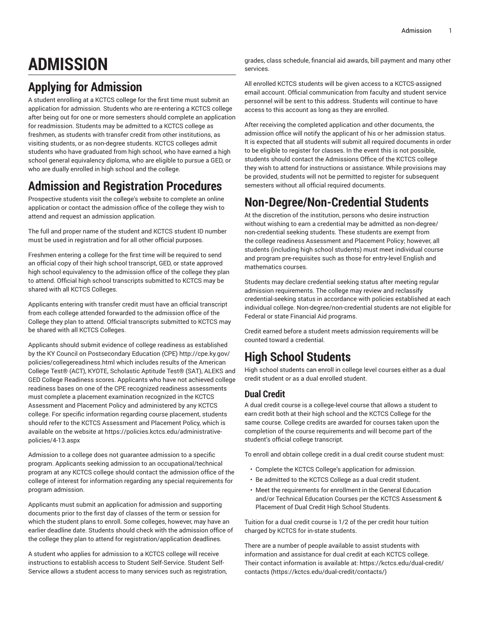# **ADMISSION**

# **Applying for Admission**

A student enrolling at a KCTCS college for the first time must submit an application for admission. Students who are re-entering a KCTCS college after being out for one or more semesters should complete an application for readmission. Students may be admitted to a KCTCS college as freshmen, as students with transfer credit from other institutions, as visiting students, or as non-degree students. KCTCS colleges admit students who have graduated from high school, who have earned a high school general equivalency diploma, who are eligible to pursue a GED, or who are dually enrolled in high school and the college.

### **Admission and Registration Procedures**

Prospective students visit the college's website to complete an online application or contact the admission office of the college they wish to attend and request an admission application.

The full and proper name of the student and KCTCS student ID number must be used in registration and for all other official purposes.

Freshmen entering a college for the first time will be required to send an official copy of their high school transcript, GED, or state approved high school equivalency to the admission office of the college they plan to attend. Official high school transcripts submitted to KCTCS may be shared with all KCTCS Colleges.

Applicants entering with transfer credit must have an official transcript from each college attended forwarded to the admission office of the College they plan to attend. Official transcripts submitted to KCTCS may be shared with all KCTCS Colleges.

Applicants should submit evidence of college readiness as established by the KY Council on Postsecondary Education (CPE) [http://cpe.ky.gov/](http://cpe.ky.gov/policies/collegereadiness.html) [policies/collegereadiness.html](http://cpe.ky.gov/policies/collegereadiness.html) which includes results of the American College Test® (ACT), KYOTE, Scholastic Aptitude Test® (SAT), ALEKS and GED College Readiness scores. Applicants who have not achieved college readiness bases on one of the CPE recognized readiness assessments must complete a placement examination recognized in the KCTCS Assessment and Placement Policy and administered by any KCTCS college. For specific information regarding course placement, students should refer to the KCTCS Assessment and Placement Policy, which is available on the website at [https://policies.kctcs.edu/administrative](https://policies.kctcs.edu/administrative-policies/4-13.aspx)[policies/4-13.aspx](https://policies.kctcs.edu/administrative-policies/4-13.aspx)

Admission to a college does not guarantee admission to a specific program. Applicants seeking admission to an occupational/technical program at any KCTCS college should contact the admission office of the college of interest for information regarding any special requirements for program admission.

Applicants must submit an application for admission and supporting documents prior to the first day of classes of the term or session for which the student plans to enroll. Some colleges, however, may have an earlier deadline date. Students should check with the admission office of the college they plan to attend for registration/application deadlines.

A student who applies for admission to a KCTCS college will receive instructions to establish access to Student Self-Service. Student Self-Service allows a student access to many services such as registration, grades, class schedule, financial aid awards, bill payment and many other services.

All enrolled KCTCS students will be given access to a KCTCS-assigned email account. Official communication from faculty and student service personnel will be sent to this address. Students will continue to have access to this account as long as they are enrolled.

After receiving the completed application and other documents, the admission office will notify the applicant of his or her admission status. It is expected that all students will submit all required documents in order to be eligible to register for classes. In the event this is not possible, students should contact the Admissions Office of the KCTCS college they wish to attend for instructions or assistance. While provisions may be provided, students will not be permitted to register for subsequent semesters without all official required documents.

### **Non-Degree/Non-Credential Students**

At the discretion of the institution, persons who desire instruction without wishing to earn a credential may be admitted as non-degree/ non-credential seeking students. These students are exempt from the college readiness Assessment and Placement Policy; however, all students (including high school students) must meet individual course and program pre-requisites such as those for entry-level English and mathematics courses.

Students may declare credential seeking status after meeting regular admission requirements. The college may review and reclassify credential-seeking status in accordance with policies established at each individual college. Non-degree/non-credential students are not eligible for Federal or state Financial Aid programs.

Credit earned before a student meets admission requirements will be counted toward a credential.

# **High School Students**

High school students can enroll in college level courses either as a dual credit student or as a dual enrolled student.

#### **Dual Credit**

A dual credit course is a college-level course that allows a student to earn credit both at their high school and the KCTCS College for the same course. College credits are awarded for courses taken upon the completion of the course requirements and will become part of the student's official college transcript.

To enroll and obtain college credit in a dual credit course student must:

- Complete the KCTCS College's application for admission.
- Be admitted to the KCTCS College as a dual credit student.
- Meet the requirements for enrollment in the General Education and/or Technical Education Courses per the KCTCS Assessment & Placement of Dual Credit High School Students.

Tuition for a dual credit course is 1/2 of the per credit hour tuition charged by KCTCS for in-state students.

There are a number of people available to assist students with information and assistance for dual credit at each KCTCS college. Their contact information is available at: [https://kctcs.edu/dual-credit/](https://kctcs.edu/dual-credit/contacts/) [contacts](https://kctcs.edu/dual-credit/contacts/) ([https://kctcs.edu/dual-credit/contacts/\)](https://kctcs.edu/dual-credit/contacts/)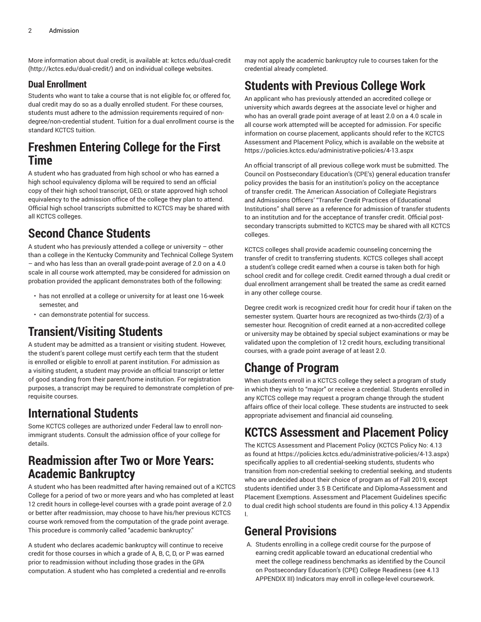More information about dual credit, is available at: [kctcs.edu/dual-credit](http://kctcs.edu/dual-credit/) ([http://kctcs.edu/dual-credit/\)](http://kctcs.edu/dual-credit/) and on individual college websites.

#### **Dual Enrollment**

Students who want to take a course that is not eligible for, or offered for, dual credit may do so as a dually enrolled student. For these courses, students must adhere to the admission requirements required of nondegree/non-credential student. Tuition for a dual enrollment course is the standard KCTCS tuition.

#### **Freshmen Entering College for the First Time**

A student who has graduated from high school or who has earned a high school equivalency diploma will be required to send an official copy of their high school transcript, GED, or state approved high school equivalency to the admission office of the college they plan to attend. Official high school transcripts submitted to KCTCS may be shared with all KCTCS colleges.

# **Second Chance Students**

A student who has previously attended a college or university – other than a college in the Kentucky Community and Technical College System – and who has less than an overall grade-point average of 2.0 on a 4.0 scale in all course work attempted, may be considered for admission on probation provided the applicant demonstrates both of the following:

- has not enrolled at a college or university for at least one 16-week semester, and
- can demonstrate potential for success.

### **Transient/Visiting Students**

A student may be admitted as a transient or visiting student. However, the student's parent college must certify each term that the student is enrolled or eligible to enroll at parent institution. For admission as a visiting student, a student may provide an official transcript or letter of good standing from their parent/home institution. For registration purposes, a transcript may be required to demonstrate completion of prerequisite courses.

# **International Students**

Some KCTCS colleges are authorized under Federal law to enroll nonimmigrant students. Consult the admission office of your college for details.

#### **Readmission after Two or More Years: Academic Bankruptcy**

A student who has been readmitted after having remained out of a KCTCS College for a period of two or more years and who has completed at least 12 credit hours in college-level courses with a grade point average of 2.0 or better after readmission, may choose to have his/her previous KCTCS course work removed from the computation of the grade point average. This procedure is commonly called "academic bankruptcy."

A student who declares academic bankruptcy will continue to receive credit for those courses in which a grade of A, B, C, D, or P was earned prior to readmission without including those grades in the GPA computation. A student who has completed a credential and re-enrolls may not apply the academic bankruptcy rule to courses taken for the credential already completed.

# **Students with Previous College Work**

An applicant who has previously attended an accredited college or university which awards degrees at the associate level or higher and who has an overall grade point average of at least 2.0 on a 4.0 scale in all course work attempted will be accepted for admission. For specific information on course placement, applicants should refer to the KCTCS Assessment and Placement Policy, which is available on the website at <https://policies.kctcs.edu/administrative-policies/4-13.aspx>

An official transcript of all previous college work must be submitted. The Council on Postsecondary Education's (CPE's) general education transfer policy provides the basis for an institution's policy on the acceptance of transfer credit. The American Association of Collegiate Registrars and Admissions Officers' "Transfer Credit Practices of Educational Institutions" shall serve as a reference for admission of transfer students to an institution and for the acceptance of transfer credit. Official postsecondary transcripts submitted to KCTCS may be shared with all KCTCS colleges.

KCTCS colleges shall provide academic counseling concerning the transfer of credit to transferring students. KCTCS colleges shall accept a student's college credit earned when a course is taken both for high school credit and for college credit. Credit earned through a dual credit or dual enrollment arrangement shall be treated the same as credit earned in any other college course.

Degree credit work is recognized credit hour for credit hour if taken on the semester system. Quarter hours are recognized as two-thirds (2/3) of a semester hour. Recognition of credit earned at a non-accredited college or university may be obtained by special subject examinations or may be validated upon the completion of 12 credit hours, excluding transitional courses, with a grade point average of at least 2.0.

# **Change of Program**

When students enroll in a KCTCS college they select a program of study in which they wish to "major" or receive a credential. Students enrolled in any KCTCS college may request a program change through the student affairs office of their local college. These students are instructed to seek appropriate advisement and financial aid counseling.

### **KCTCS Assessment and Placement Policy**

The KCTCS Assessment and Placement Policy (KCTCS Policy No: 4.13 as found at<https://policies.kctcs.edu/administrative-policies/4-13.aspx>) specifically applies to all credential-seeking students, students who transition from non-credential seeking to credential seeking, and students who are undecided about their choice of program as of Fall 2019, except students identified under 3.5 B Certificate and Diploma-Assessment and Placement Exemptions. Assessment and Placement Guidelines specific to dual credit high school students are found in this policy 4.13 Appendix I.

### **General Provisions**

A. Students enrolling in a college credit course for the purpose of earning credit applicable toward an educational credential who meet the college readiness benchmarks as identified by the Council on Postsecondary Education's (CPE) College Readiness (see 4.13 APPENDIX III) Indicators may enroll in college-level coursework.